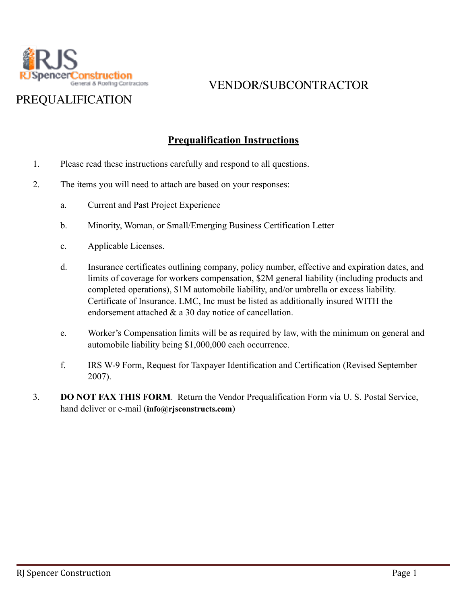

# PREQUALIFICATION

#### **Prequalification Instructions**

- 1. Please read these instructions carefully and respond to all questions.
- 2. The items you will need to attach are based on your responses:
	- a. Current and Past Project Experience
	- b. Minority, Woman, or Small/Emerging Business Certification Letter
	- c. Applicable Licenses.
	- d. Insurance certificates outlining company, policy number, effective and expiration dates, and limits of coverage for workers compensation, \$2M general liability (including products and completed operations), \$1M automobile liability, and/or umbrella or excess liability. Certificate of Insurance. LMC, Inc must be listed as additionally insured WITH the endorsement attached & a 30 day notice of cancellation.
	- e. Worker's Compensation limits will be as required by law, with the minimum on general and automobile liability being \$1,000,000 each occurrence.
	- f. IRS W-9 Form, Request for Taxpayer Identification and Certification (Revised September 2007).
- 3. **DO NOT FAX THIS FORM**. Return the Vendor Prequalification Form via U. S. Postal Service, hand deliver or e-mail (**info@rjsconstructs.com**)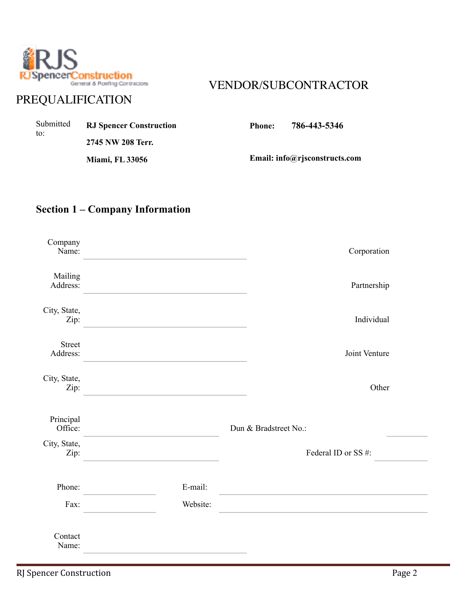

# PREQUALIFICATION

| Submitted<br>to: | <b>RJ Spencer Construction</b> | Phone: | 786-443-5346                  |
|------------------|--------------------------------|--------|-------------------------------|
|                  | 2745 NW 208 Terr.              |        |                               |
|                  | <b>Miami, FL 33056</b>         |        | Email: info@rjsconstructs.com |

#### **Section 1 – Company Information**

| Company<br>Name:          |          | Corporation           |
|---------------------------|----------|-----------------------|
| Mailing<br>Address:       |          | Partnership           |
| City, State,<br>Zip:      |          | Individual            |
| <b>Street</b><br>Address: |          | Joint Venture         |
| City, State,<br>Zip:      |          | Other                 |
| Principal<br>Office:      |          | Dun & Bradstreet No.: |
| City, State,<br>Zip:      |          | Federal ID or SS#:    |
| Phone:                    | E-mail:  |                       |
| Fax:                      | Website: |                       |
| Contact<br>Name:          |          |                       |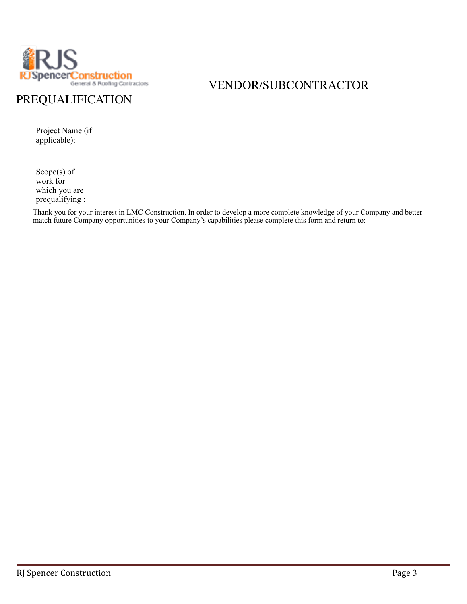

#### PREQUALIFICATION

Project Name (if applicable):

Scope(s) of work for which you are prequalifying :

Thank you for your interest in LMC Construction. In order to develop a more complete knowledge of your Company and better match future Company opportunities to your Company's capabilities please complete this form and return to: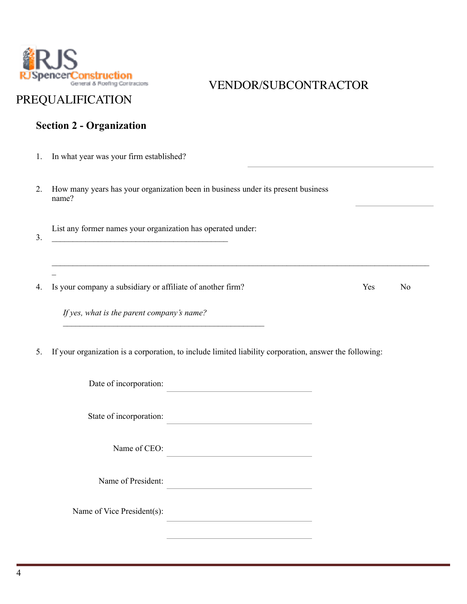

# PREQUALIFICATION

## **Section 2 - Organization**

| 1. | In what year was your firm established?                     |                                                                                                                                                             |     |                |
|----|-------------------------------------------------------------|-------------------------------------------------------------------------------------------------------------------------------------------------------------|-----|----------------|
| 2. | name?                                                       | How many years has your organization been in business under its present business                                                                            |     |                |
| 3. | List any former names your organization has operated under: |                                                                                                                                                             |     |                |
| 4. | Is your company a subsidiary or affiliate of another firm?  |                                                                                                                                                             | Yes | N <sub>0</sub> |
|    | If yes, what is the parent company's name?                  |                                                                                                                                                             |     |                |
| 5. | Date of incorporation:                                      | If your organization is a corporation, to include limited liability corporation, answer the following:<br><u> 1980 - Johann Barbara, martxa alemaniar a</u> |     |                |
|    | State of incorporation:                                     |                                                                                                                                                             |     |                |
|    | Name of CEO:                                                |                                                                                                                                                             |     |                |
|    | Name of President:                                          |                                                                                                                                                             |     |                |
|    | Name of Vice President(s):                                  |                                                                                                                                                             |     |                |
|    |                                                             |                                                                                                                                                             |     |                |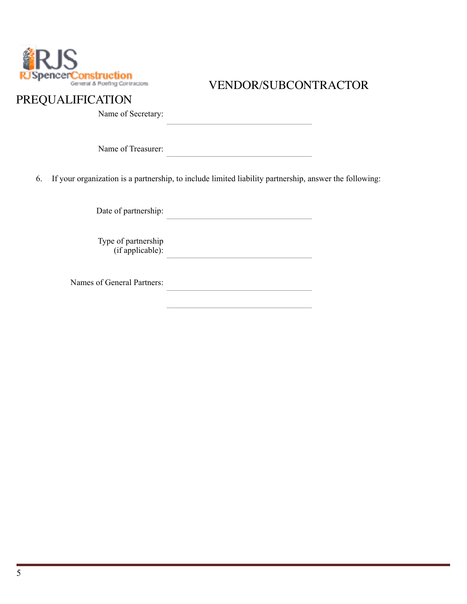

#### PREQUALIFICATION

Name of Secretary:

Name of Treasurer:

6. If your organization is a partnership, to include limited liability partnership, answer the following:

Date of partnership:

Type of partnership (if applicable):

Names of General Partners: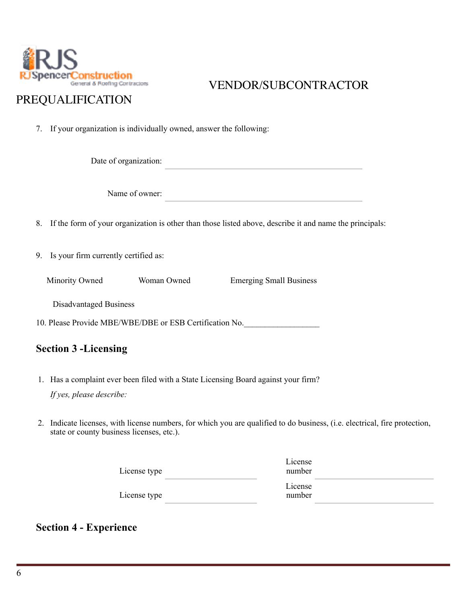

#### PREQUALIFICATION

7. If your organization is individually owned, answer the following:

Date of organization:

Name of owner:

8. If the form of your organization is other than those listed above, describe it and name the principals:

9. Is your firm currently certified as:

Minority Owned Woman Owned Emerging Small Business

Disadvantaged Business

10. Please Provide MBE/WBE/DBE or ESB Certification No.

#### **Section 3 -Licensing**

- 1. Has a complaint ever been filed with a State Licensing Board against your firm? *If yes, please describe:*
- 2. Indicate licenses, with license numbers, for which you are qualified to do business, (i.e. electrical, fire protection, state or county business licenses, etc.).

| License type | License<br>number |  |
|--------------|-------------------|--|
| License type | License<br>number |  |

#### **Section 4 - Experience**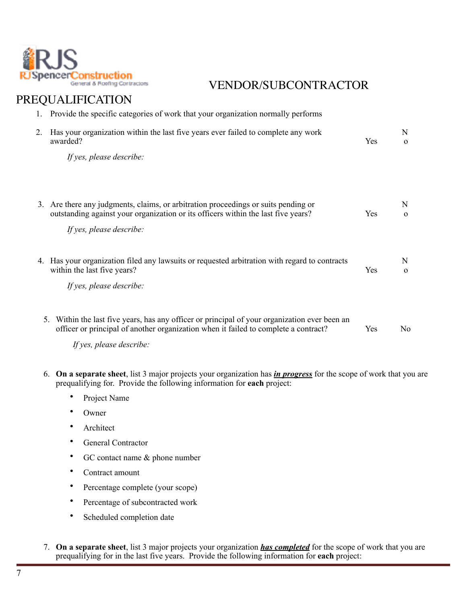

| 1. | Provide the specific categories of work that your organization normally performs                                                                                                     |     |                |
|----|--------------------------------------------------------------------------------------------------------------------------------------------------------------------------------------|-----|----------------|
| 2. | Has your organization within the last five years ever failed to complete any work<br>awarded?                                                                                        | Yes | N<br>$\Omega$  |
|    | If yes, please describe:                                                                                                                                                             |     |                |
|    |                                                                                                                                                                                      |     |                |
|    | 3. Are there any judgments, claims, or arbitration proceedings or suits pending or<br>outstanding against your organization or its officers within the last five years?              | Yes | N<br>$\Omega$  |
|    | If yes, please describe:                                                                                                                                                             |     |                |
|    | 4. Has your organization filed any lawsuits or requested arbitration with regard to contracts<br>within the last five years?                                                         | Yes | N<br>$\Omega$  |
|    | If yes, please describe:                                                                                                                                                             |     |                |
|    |                                                                                                                                                                                      |     |                |
|    | 5. Within the last five years, has any officer or principal of your organization ever been an<br>officer or principal of another organization when it failed to complete a contract? | Yes | N <sub>0</sub> |
|    | If yes, please describe:                                                                                                                                                             |     |                |

- 6. **On a separate sheet**, list 3 major projects your organization has *in progress* for the scope of work that you are prequalifying for. Provide the following information for **each** project:
	- Project Name
	- Owner
	- Architect
	- General Contractor
	- GC contact name & phone number
	- Contract amount
	- Percentage complete (your scope)
	- Percentage of subcontracted work
	- Scheduled completion date
- 7. **On a separate sheet**, list 3 major projects your organization *has completed* for the scope of work that you are prequalifying for in the last five years. Provide the following information for **each** project: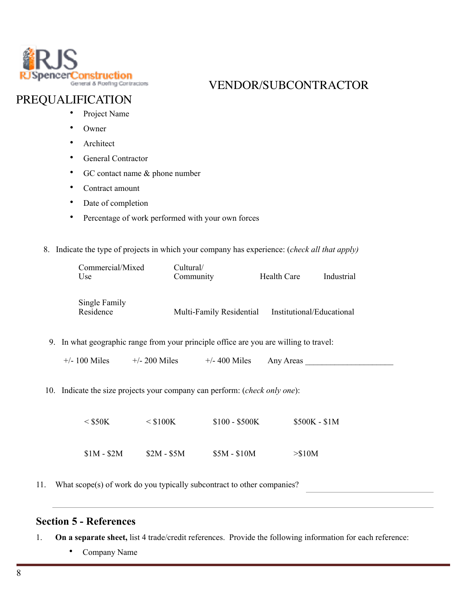

#### PREQUALIFICATION

- Project Name
- Owner
- Architect
- General Contractor
- GC contact name & phone number
- Contract amount
- Date of completion
- Percentage of work performed with your own forces
- 8. Indicate the type of projects in which your company has experience: (*check all that apply)*

| Commercial/Mixed<br>Use    | Cultural/<br>Community   | Health Care               | Industrial |
|----------------------------|--------------------------|---------------------------|------------|
| Single Family<br>Residence | Multi-Family Residential | Institutional/Educational |            |

- 9. In what geographic range from your principle office are you are willing to travel:
	- $+/- 100$  Miles  $+/- 200$  Miles  $+/- 400$  Miles Any Areas
- 10. Indicate the size projects your company can perform: (*check only one*):

| $<$ \$50K   | $\leq$ \$100K | $$100 - $500K$ | $$500K - $1M$ |
|-------------|---------------|----------------|---------------|
| $$1M - $2M$ | $$2M - $5M$   | $$5M - $10M$   | > \$10M       |

11. What scope(s) of work do you typically subcontract to other companies?

#### **Section 5 - References**

- 1. **On a separate sheet,** list 4 trade/credit references. Provide the following information for each reference:
	- Company Name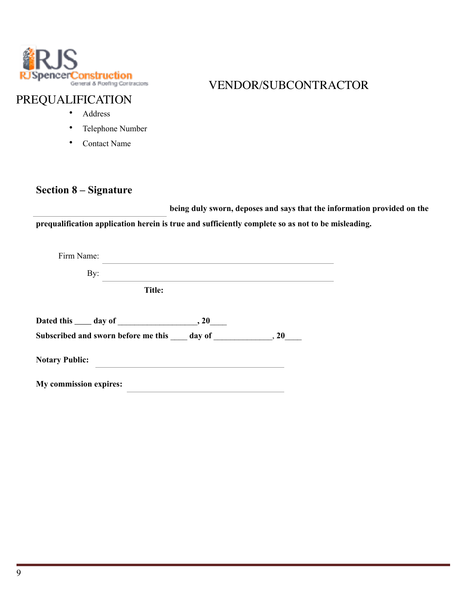

#### PREQUALIFICATION

- Address
- Telephone Number
- Contact Name

#### **Section 8 – Signature**

 **being duly sworn, deposes and says that the information provided on the prequalification application herein is true and sufficiently complete so as not to be misleading.** 

| Firm Name:                                               |  |
|----------------------------------------------------------|--|
| By:                                                      |  |
| <b>Title:</b>                                            |  |
|                                                          |  |
| Subscribed and sworn before me this day of 5.10 and 5.20 |  |
| <b>Notary Public:</b>                                    |  |
| My commission expires:                                   |  |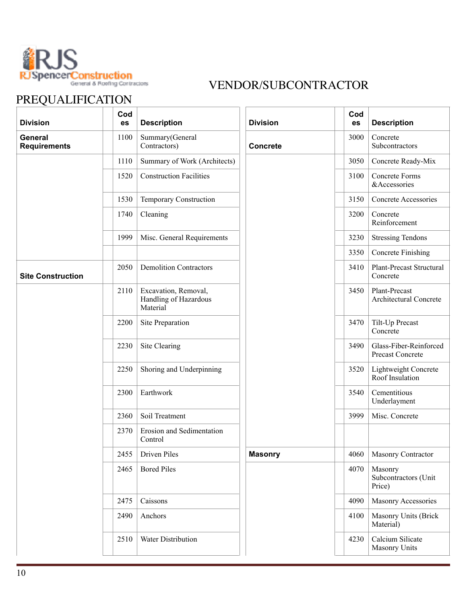

| <b>Division</b>                       | Cod<br>es | <b>Description</b>                                        | <b>Division</b> | Cod<br>es | <b>Description</b>                         |
|---------------------------------------|-----------|-----------------------------------------------------------|-----------------|-----------|--------------------------------------------|
| <b>General</b><br><b>Requirements</b> | 1100      | Summary(General<br>Contractors)                           | <b>Concrete</b> | 3000      | Concrete<br>Subcontractors                 |
|                                       | 1110      | Summary of Work (Architects)                              |                 | 3050      | Concrete Ready-Mix                         |
|                                       | 1520      | <b>Construction Facilities</b>                            |                 | 3100      | Concrete Forms<br>&Accessories             |
|                                       | 1530      | <b>Temporary Construction</b>                             |                 | 3150      | Concrete Accessories                       |
|                                       | 1740      | Cleaning                                                  |                 | 3200      | Concrete<br>Reinforcement                  |
|                                       | 1999      | Misc. General Requirements                                |                 | 3230      | <b>Stressing Tendons</b>                   |
|                                       |           |                                                           |                 | 3350      | <b>Concrete Finishing</b>                  |
| <b>Site Construction</b>              | 2050      | <b>Demolition Contractors</b>                             |                 | 3410      | Plant-Precast Structural<br>Concrete       |
|                                       | 2110      | Excavation, Removal,<br>Handling of Hazardous<br>Material |                 | 3450      | Plant-Precast<br>Architectural Concrete    |
|                                       | 2200      | Site Preparation                                          |                 | 3470      | Tilt-Up Precast<br>Concrete                |
|                                       | 2230      | Site Clearing                                             |                 | 3490      | Glass-Fiber-Reinforced<br>Precast Concrete |
|                                       | 2250      | Shoring and Underpinning                                  |                 | 3520      | Lightweight Concrete<br>Roof Insulation    |
|                                       | 2300      | Earthwork                                                 |                 | 3540      | Cementitious<br>Underlayment               |
|                                       | 2360      | Soil Treatment                                            |                 | 3999      | Misc. Concrete                             |
|                                       | 2370      | Erosion and Sedimentation<br>Control                      |                 |           |                                            |
|                                       | 2455      | <b>Driven Piles</b>                                       | <b>Masonry</b>  | 4060      | Masonry Contractor                         |
|                                       | 2465      | <b>Bored Piles</b>                                        |                 | 4070      | Masonry<br>Subcontractors (Unit<br>Price)  |
|                                       | 2475      | Caissons                                                  |                 | 4090      | Masonry Accessories                        |
|                                       | 2490      | Anchors                                                   |                 | 4100      | <b>Masonry Units (Brick</b><br>Material)   |
|                                       | 2510      | Water Distribution                                        |                 | 4230      | Calcium Silicate<br>Masonry Units          |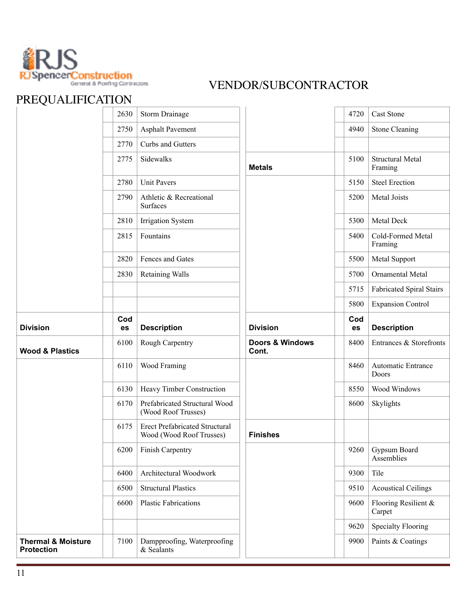

| PREQUALIFICATION           |      |                                                                   |                                     |      |                                    |
|----------------------------|------|-------------------------------------------------------------------|-------------------------------------|------|------------------------------------|
|                            | 2630 | Storm Drainage                                                    |                                     | 4720 | <b>Cast Stone</b>                  |
|                            | 2750 | <b>Asphalt Pavement</b>                                           |                                     | 4940 | <b>Stone Cleaning</b>              |
|                            | 2770 | Curbs and Gutters                                                 |                                     |      |                                    |
|                            | 2775 | Sidewalks                                                         | <b>Metals</b>                       | 5100 | <b>Structural Metal</b><br>Framing |
|                            | 2780 | <b>Unit Pavers</b>                                                |                                     | 5150 | <b>Steel Erection</b>              |
|                            | 2790 | Athletic & Recreational<br>Surfaces                               |                                     | 5200 | Metal Joists                       |
|                            | 2810 | <b>Irrigation System</b>                                          |                                     | 5300 | Metal Deck                         |
|                            | 2815 | Fountains                                                         |                                     | 5400 | Cold-Formed Metal<br>Framing       |
|                            | 2820 | Fences and Gates                                                  |                                     | 5500 | Metal Support                      |
|                            | 2830 | <b>Retaining Walls</b>                                            |                                     | 5700 | Ornamental Metal                   |
|                            |      |                                                                   |                                     | 5715 | <b>Fabricated Spiral Stairs</b>    |
|                            |      |                                                                   |                                     | 5800 | <b>Expansion Control</b>           |
|                            | Cod  |                                                                   |                                     | Cod  |                                    |
| <b>Division</b>            | es   | <b>Description</b>                                                | <b>Division</b>                     | es   | <b>Description</b>                 |
| <b>Wood &amp; Plastics</b> | 6100 | Rough Carpentry                                                   | <b>Doors &amp; Windows</b><br>Cont. | 8400 | Entrances & Storefronts            |
|                            | 6110 | Wood Framing                                                      |                                     | 8460 | Automatic Entrance<br>Doors        |
|                            | 6130 | Heavy Timber Construction                                         |                                     | 8550 | Wood Windows                       |
|                            | 6170 | Prefabricated Structural Wood<br>(Wood Roof Trusses)              |                                     | 8600 | Skylights                          |
|                            | 6175 | <b>Erect Prefabricated Structural</b><br>Wood (Wood Roof Trusses) | <b>Finishes</b>                     |      |                                    |
|                            | 6200 | Finish Carpentry                                                  |                                     | 9260 | Gypsum Board<br>Assemblies         |
|                            | 6400 | Architectural Woodwork                                            |                                     | 9300 | Tile                               |
|                            | 6500 | <b>Structural Plastics</b>                                        |                                     | 9510 | <b>Acoustical Ceilings</b>         |
|                            | 6600 | <b>Plastic Fabrications</b>                                       |                                     | 9600 | Flooring Resilient &<br>Carpet     |
|                            |      |                                                                   |                                     | 9620 | <b>Specialty Flooring</b>          |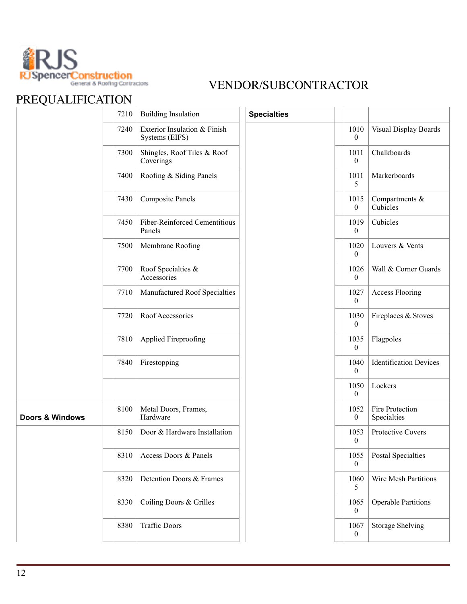

|                            | 7210 | <b>Building Insulation</b>                     | <b>Specialties</b> |                          |                                |
|----------------------------|------|------------------------------------------------|--------------------|--------------------------|--------------------------------|
|                            | 7240 | Exterior Insulation & Finish<br>Systems (EIFS) |                    | 1010<br>$\boldsymbol{0}$ | Visual Display Boards          |
|                            | 7300 | Shingles, Roof Tiles & Roof<br>Coverings       |                    | 1011<br>$\boldsymbol{0}$ | Chalkboards                    |
|                            | 7400 | Roofing & Siding Panels                        |                    | 1011<br>5                | Markerboards                   |
|                            | 7430 | <b>Composite Panels</b>                        |                    | 1015<br>$\overline{0}$   | Compartments &<br>Cubicles     |
|                            | 7450 | Fiber-Reinforced Cementitious<br>Panels        |                    | 1019<br>$\mathbf{0}$     | Cubicles                       |
|                            | 7500 | Membrane Roofing                               |                    | 1020<br>$\overline{0}$   | Louvers & Vents                |
|                            | 7700 | Roof Specialties &<br>Accessories              |                    | 1026<br>$\overline{0}$   | Wall & Corner Guards           |
|                            | 7710 | Manufactured Roof Specialties                  |                    | 1027<br>$\boldsymbol{0}$ | <b>Access Flooring</b>         |
|                            | 7720 | Roof Accessories                               |                    | 1030<br>$\overline{0}$   | Fireplaces & Stoves            |
|                            | 7810 | Applied Fireproofing                           |                    | 1035<br>$\boldsymbol{0}$ | Flagpoles                      |
|                            | 7840 | Firestopping                                   |                    | 1040<br>$\boldsymbol{0}$ | <b>Identification Devices</b>  |
|                            |      |                                                |                    | 1050<br>$\mathbf{0}$     | Lockers                        |
| <b>Doors &amp; Windows</b> | 8100 | Metal Doors, Frames,<br>Hardware               |                    | 1052<br>0                | Fire Protection<br>Specialties |
|                            | 8150 | Door & Hardware Installation                   |                    | 1053<br>$\boldsymbol{0}$ | Protective Covers              |
|                            | 8310 | Access Doors & Panels                          |                    | 1055<br>0                | <b>Postal Specialties</b>      |
|                            | 8320 | Detention Doors & Frames                       |                    | 1060<br>5                | Wire Mesh Partitions           |
|                            | 8330 | Coiling Doors & Grilles                        |                    | 1065<br>0                | <b>Operable Partitions</b>     |
|                            | 8380 | <b>Traffic Doors</b>                           |                    | 1067<br>$\boldsymbol{0}$ | <b>Storage Shelving</b>        |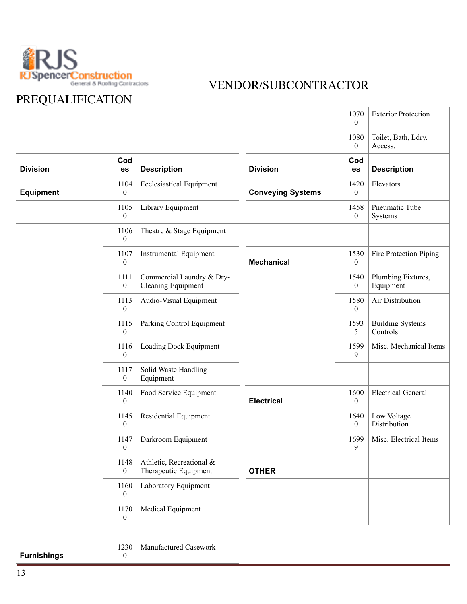

|                    |                          |                                                        |                          | 1070<br>$\overline{0}$   | <b>Exterior Protection</b>          |
|--------------------|--------------------------|--------------------------------------------------------|--------------------------|--------------------------|-------------------------------------|
|                    |                          |                                                        |                          | 1080<br>$\boldsymbol{0}$ | Toilet, Bath, Ldry.<br>Access.      |
| <b>Division</b>    | Cod<br>es                | <b>Description</b>                                     | <b>Division</b>          | Cod<br>es                | <b>Description</b>                  |
| <b>Equipment</b>   | 1104<br>$\boldsymbol{0}$ | <b>Ecclesiastical Equipment</b>                        | <b>Conveying Systems</b> | 1420<br>$\mathbf{0}$     | Elevators                           |
|                    | 1105<br>$\boldsymbol{0}$ | Library Equipment                                      |                          | 1458<br>$\boldsymbol{0}$ | Pneumatic Tube<br>Systems           |
|                    | 1106<br>$\mathbf{0}$     | Theatre & Stage Equipment                              |                          |                          |                                     |
|                    | 1107<br>$\overline{0}$   | <b>Instrumental Equipment</b>                          | <b>Mechanical</b>        | 1530<br>$\boldsymbol{0}$ | Fire Protection Piping              |
|                    | 1111<br>$\mathbf{0}$     | Commercial Laundry & Dry-<br><b>Cleaning Equipment</b> |                          | 1540<br>$\boldsymbol{0}$ | Plumbing Fixtures,<br>Equipment     |
|                    | 1113<br>$\mathbf{0}$     | Audio-Visual Equipment                                 |                          | 1580<br>$\boldsymbol{0}$ | Air Distribution                    |
|                    | 1115<br>$\mathbf{0}$     | Parking Control Equipment                              |                          | 1593<br>5                | <b>Building Systems</b><br>Controls |
|                    | 1116<br>$\boldsymbol{0}$ | Loading Dock Equipment                                 |                          | 1599<br>9                | Misc. Mechanical Items              |
|                    | 1117<br>$\mathbf{0}$     | Solid Waste Handling<br>Equipment                      |                          |                          |                                     |
|                    | 1140<br>$\boldsymbol{0}$ | Food Service Equipment                                 | <b>Electrical</b>        | 1600<br>$\boldsymbol{0}$ | <b>Electrical General</b>           |
|                    | 1145<br>$\boldsymbol{0}$ | Residential Equipment                                  |                          | 1640<br>$\boldsymbol{0}$ | Low Voltage<br>Distribution         |
|                    | 1147<br>$\boldsymbol{0}$ | Darkroom Equipment                                     |                          | 1699<br>9                | Misc. Electrical Items              |
|                    | 1148<br>$\mathbf{0}$     | Athletic, Recreational &<br>Therapeutic Equipment      | <b>OTHER</b>             |                          |                                     |
|                    | 1160<br>$\mathbf{0}$     | Laboratory Equipment                                   |                          |                          |                                     |
|                    | 1170<br>$\boldsymbol{0}$ | Medical Equipment                                      |                          |                          |                                     |
| <b>Furnishings</b> | 1230<br>$\overline{0}$   | Manufactured Casework                                  |                          |                          |                                     |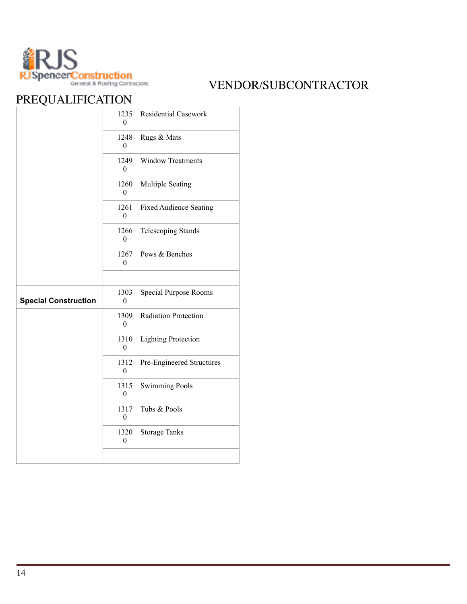

|                             | 1235<br>$\Omega$         | <b>Residential Casework</b>   |
|-----------------------------|--------------------------|-------------------------------|
|                             | 1248<br>$\boldsymbol{0}$ | Rugs & Mats                   |
|                             | 1249<br>$\theta$         | <b>Window Treatments</b>      |
|                             | 1260<br>$\boldsymbol{0}$ | Multiple Seating              |
|                             | 1261<br>$\theta$         | <b>Fixed Audience Seating</b> |
|                             | 1266<br>$\theta$         | <b>Telescoping Stands</b>     |
|                             | 1267<br>$\theta$         | Pews & Benches                |
|                             |                          |                               |
| <b>Special Construction</b> | 1303<br>$\overline{0}$   | <b>Special Purpose Rooms</b>  |
|                             | 1309<br>$\boldsymbol{0}$ | <b>Radiation Protection</b>   |
|                             | 1310<br>$\boldsymbol{0}$ | <b>Lighting Protection</b>    |
|                             | 1312<br>$\boldsymbol{0}$ | Pre-Engineered Structures     |
|                             | 1315<br>$\mathbf{0}$     | <b>Swimming Pools</b>         |
|                             | 1317<br>$\boldsymbol{0}$ | Tubs & Pools                  |
|                             | 1320<br>$\boldsymbol{0}$ | <b>Storage Tanks</b>          |
|                             |                          |                               |